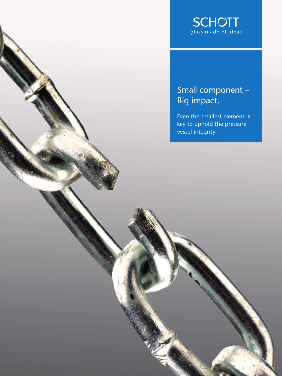

## Small component – Big impact.

Even the smallest element is key to uphold the pressure vessel integrity.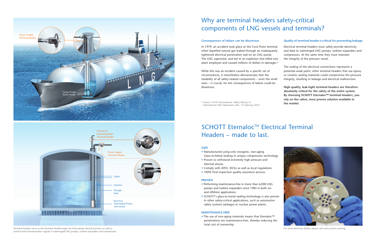### **Consequences of failure can be disastrous Quality of terminal header is critical for preventing leakage**

**High quality, leak-tight terminal headers are therefore absolutely critical for the safety of the entire system. By choosing SCHOTT Eternaloc™ terminal headers, you rely on the safest, most proven solution available in the market.** 

While this was an incident caused by a specific set of circumstances, it nevertheless demonstrates that the reliability of all safety-related components – even the small ones – is crucial, for the consequences of failure could be disastrous.

- Manufactured using only inorganic, non-aging Glass-to-Metal Sealing in unique compression technology
- Proven to withstand extremely high pressure and thermal shocks
- Comply with ATEX, IECEx as well as local regulations
- 100% final inspection quality assurance process

In 1979, an accident took place at the Cove Point terminal when liquefied natural gas leaked through an inadequately tightened electrical penetration seal on an LNG pump. The LNG vaporized, and led to an explosion that killed one plant employee and caused millions of dollars in damages.\* Electrical terminal headers must safely provide electricity and data to submerged LNG pumps, turbine expanders and compressors. At the same time they must maintain the integrity of the pressure vessel.

\* Source: CH-IV International: Safety History of International LNG Operations, Rev. 12 February 2012 The sealing of the electrical connections represents a potential weak point: other terminal headers that use epoxy or ceramic sealing materials could compromise the pressure integrity, resulting in leakage and electrical malfunction.

# SCHOTT Eternaloc<sup>™</sup> Electrical Terminal Headers – made to last.

# Why are terminal headers safety-critical components of LNG vessels and terminals?

#### **SAFE**

#### **PROVEN**

- Performing maintenance-free in more than 6,000 LNG pumps and turbine expanders since 1985 in both onand offshore applications.
- SCHOTT's glass-to-metal sealing technology is also proven in other safety-critical applications, such as automotive safety systems (airbags) or nuclear power plants.

#### **MAINTENANCE-FREE**

• The use of non-aging materials means that Eternaloc™ penetrations are maintenance-free, thereby reducing the total cost of ownership.

Terminal headers serve as the hermetic feedthroughs for three-phase electrical power, as well as control and instrumentation signals in submerged LNG pumps, turbine expanders and compressors.



For more technical details, please visit www.schott.com/lng